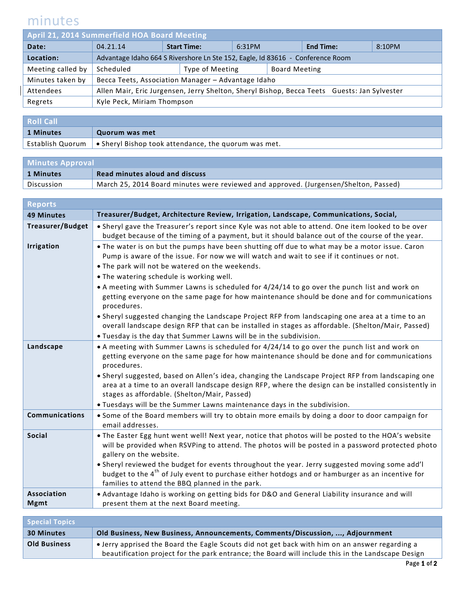## minutes

 $\overline{\phantom{a}}$ 

| April 21, 2014 Summerfield HOA Board Meeting |                                                                                             |  |                              |  |                      |                  |        |
|----------------------------------------------|---------------------------------------------------------------------------------------------|--|------------------------------|--|----------------------|------------------|--------|
| Date:                                        | 04.21.14                                                                                    |  | <b>Start Time:</b><br>6:31PM |  |                      | <b>End Time:</b> | 8:10PM |
| Location:                                    | Advantage Idaho 664 S Rivershore Ln Ste 152, Eagle, Id 83616 - Conference Room              |  |                              |  |                      |                  |        |
| Meeting called by                            | Scheduled                                                                                   |  | Type of Meeting              |  | <b>Board Meeting</b> |                  |        |
| Minutes taken by                             | Becca Teets, Association Manager - Advantage Idaho                                          |  |                              |  |                      |                  |        |
| Attendees                                    | Allen Mair, Eric Jurgensen, Jerry Shelton, Sheryl Bishop, Becca Teets Guests: Jan Sylvester |  |                              |  |                      |                  |        |
| Regrets                                      | Kyle Peck, Miriam Thompson                                                                  |  |                              |  |                      |                  |        |

| <b>Roll Call</b> |                                                                                 |  |
|------------------|---------------------------------------------------------------------------------|--|
| 1 Minutes        | Quorum was met                                                                  |  |
|                  | Establish Quorum   $\bullet$ Sheryl Bishop took attendance, the quorum was met. |  |

| <b>Minutes Approval</b> |                                                                                      |  |
|-------------------------|--------------------------------------------------------------------------------------|--|
| 1 Minutes               | <b>Read minutes aloud and discuss</b>                                                |  |
| Discussion              | March 25, 2014 Board minutes were reviewed and approved. (Jurgensen/Shelton, Passed) |  |

| <b>Reports</b>          |                                                                                                                                                                                                                                                                                                                                                                                                                                                                                                                                                                                                                                                                                                                                                                                         |
|-------------------------|-----------------------------------------------------------------------------------------------------------------------------------------------------------------------------------------------------------------------------------------------------------------------------------------------------------------------------------------------------------------------------------------------------------------------------------------------------------------------------------------------------------------------------------------------------------------------------------------------------------------------------------------------------------------------------------------------------------------------------------------------------------------------------------------|
| <b>49 Minutes</b>       | Treasurer/Budget, Architecture Review, Irrigation, Landscape, Communications, Social,                                                                                                                                                                                                                                                                                                                                                                                                                                                                                                                                                                                                                                                                                                   |
| <b>Treasurer/Budget</b> | . Sheryl gave the Treasurer's report since Kyle was not able to attend. One item looked to be over<br>budget because of the timing of a payment, but it should balance out of the course of the year.                                                                                                                                                                                                                                                                                                                                                                                                                                                                                                                                                                                   |
| <b>Irrigation</b>       | . The water is on but the pumps have been shutting off due to what may be a motor issue. Caron<br>Pump is aware of the issue. For now we will watch and wait to see if it continues or not.<br>. The park will not be watered on the weekends.<br>. The watering schedule is working well.<br>• A meeting with Summer Lawns is scheduled for 4/24/14 to go over the punch list and work on<br>getting everyone on the same page for how maintenance should be done and for communications<br>procedures.<br>• Sheryl suggested changing the Landscape Project RFP from landscaping one area at a time to an<br>overall landscape design RFP that can be installed in stages as affordable. (Shelton/Mair, Passed)<br>. Tuesday is the day that Summer Lawns will be in the subdivision. |
| Landscape               | • A meeting with Summer Lawns is scheduled for 4/24/14 to go over the punch list and work on<br>getting everyone on the same page for how maintenance should be done and for communications<br>procedures.<br>. Sheryl suggested, based on Allen's idea, changing the Landscape Project RFP from landscaping one<br>area at a time to an overall landscape design RFP, where the design can be installed consistently in<br>stages as affordable. (Shelton/Mair, Passed)<br>. Tuesdays will be the Summer Lawns maintenance days in the subdivision.                                                                                                                                                                                                                                    |
| <b>Communications</b>   | . Some of the Board members will try to obtain more emails by doing a door to door campaign for<br>email addresses.                                                                                                                                                                                                                                                                                                                                                                                                                                                                                                                                                                                                                                                                     |
| <b>Social</b>           | . The Easter Egg hunt went well! Next year, notice that photos will be posted to the HOA's website<br>will be provided when RSVPing to attend. The photos will be posted in a password protected photo<br>gallery on the website.<br>. Sheryl reviewed the budget for events throughout the year. Jerry suggested moving some add'l<br>budget to the 4 <sup>th</sup> of July event to purchase either hotdogs and or hamburger as an incentive for<br>families to attend the BBQ planned in the park.                                                                                                                                                                                                                                                                                   |
| <b>Association</b>      | . Advantage Idaho is working on getting bids for D&O and General Liability insurance and will                                                                                                                                                                                                                                                                                                                                                                                                                                                                                                                                                                                                                                                                                           |
| <b>Mgmt</b>             | present them at the next Board meeting.                                                                                                                                                                                                                                                                                                                                                                                                                                                                                                                                                                                                                                                                                                                                                 |
|                         |                                                                                                                                                                                                                                                                                                                                                                                                                                                                                                                                                                                                                                                                                                                                                                                         |

| <b>Special Topics</b> |                                                                                                                                                                                                     |
|-----------------------|-----------------------------------------------------------------------------------------------------------------------------------------------------------------------------------------------------|
| <b>30 Minutes</b>     | Old Business, New Business, Announcements, Comments/Discussion, , Adjournment                                                                                                                       |
| <b>Old Business</b>   | • Jerry apprised the Board the Eagle Scouts did not get back with him on an answer regarding a<br>beautification project for the park entrance; the Board will include this in the Landscape Design |